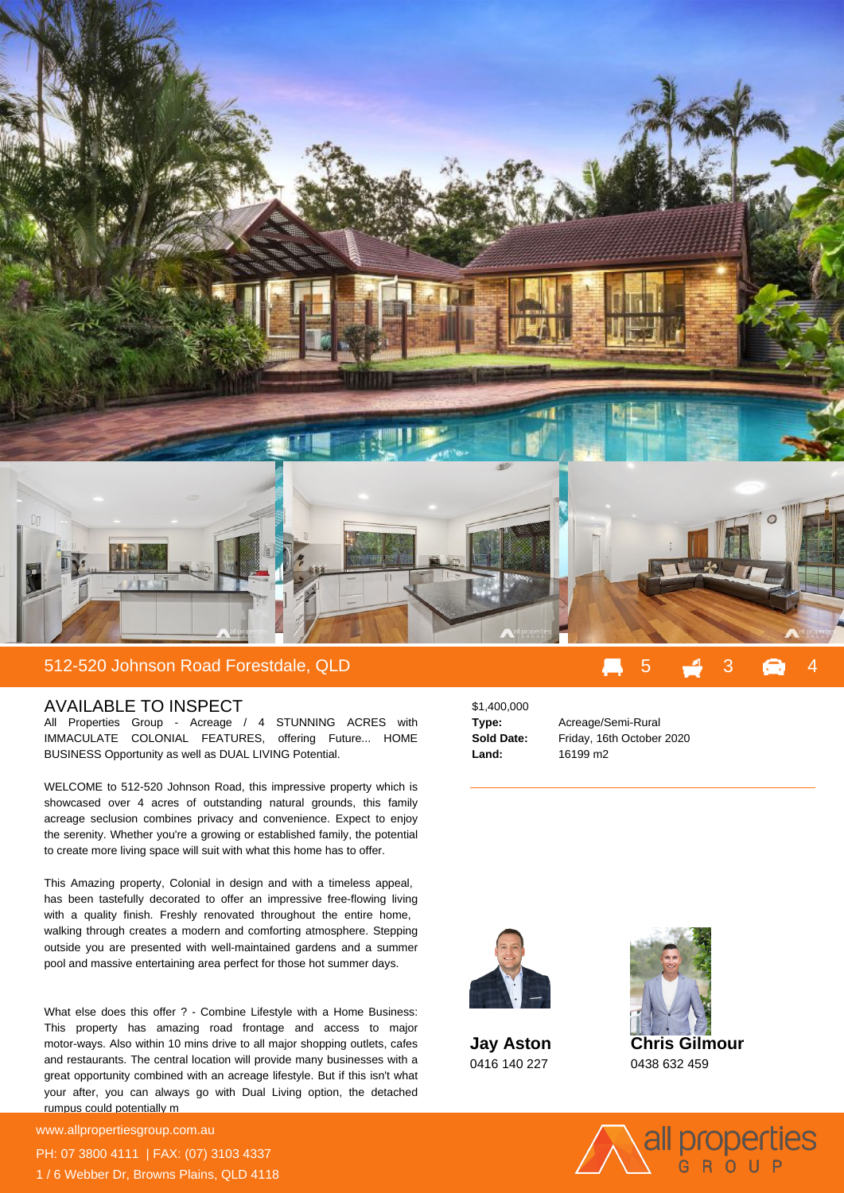

## 512-520 Johnson Road Forestdale, QLD

## AVAILABLE TO INSPECT

All Properties Group - Acreage / 4 STUNNING ACRES with IMMACULATE COLONIAL FEATURES, offering Future... HOME BUSINESS Opportunity as well as DUAL LIVING Potential.

WELCOME to 512-520 Johnson Road, this impressive property which is showcased over 4 acres of outstanding natural grounds, this family acreage seclusion combines privacy and convenience. Expect to enjoy the serenity. Whether you're a growing or established family, the potential to create more living space will suit with what this home has to offer.

This Amazing property, Colonial in design and with a timeless appeal, has been tastefully decorated to offer an impressive free-flowing living with a quality finish. Freshly renovated throughout the entire home, walking through creates a modern and comforting atmosphere. Stepping outside you are presented with well-maintained gardens and a summer pool and massive entertaining area perfect for those hot summer days.

What else does this offer ? - Combine Lifestyle with a Home Business: This property has amazing road frontage and access to major motor-ways. Also within 10 mins drive to all major shopping outlets, cafes and restaurants. The central location will provide many businesses with a great opportunity combined with an acreage lifestyle. But if this isn't what your after, you can always go with Dual Living option, the detached rumpus could potentially m

**For more details please visit** www.allpropertiesgroup.com.au PH: 07 3800 4111 | FAX: (07) 3103 4337 1 / 6 Webber Dr, Browns Plains, QLD 4118

\$1,400,000 **Land:** 16199 m2

**Type:** Acreage/Semi-Rural **Sold Date:** Friday, 16th October 2020



**Jay Aston** 0416 140 227



**Chris Gilmour** 0438 632 459